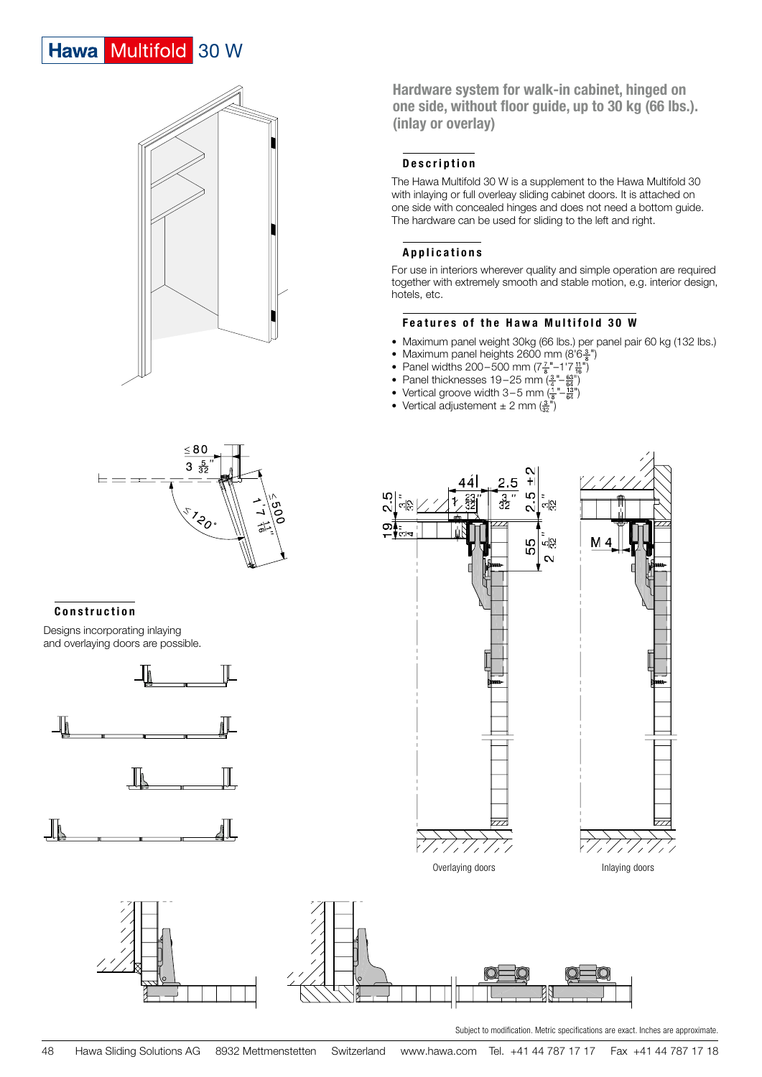# Hawa Multifold 30 W



 $\underline{\leq 80}$  $3\frac{5}{32}$  $\vdash$   $\;$   $\;$   $\;$   $\;$ **i**za

# Construction

Designs incorporating inlaying and overlaying doors are possible.





Hardware system for walk-in cabinet, hinged on one side, without floor guide, up to 30 kg (66 lbs.). (inlay or overlay)

# Description

The Hawa Multifold 30 W is a supplement to the Hawa Multifold 30 with inlaying or full overleay sliding cabinet doors. It is attached on one side with concealed hinges and does not need a bottom guide. The hardware can be used for sliding to the left and right.

# Applications

For use in interiors wherever quality and simple operation are required together with extremely smooth and stable motion, e.g. interior design, hotels, etc.

# Features of the Hawa Multifold 30 W

- Maximum panel weight 30kg (66 lbs.) per panel pair 60 kg (132 lbs.)
- Maximum panel heights 2600 mm (8'6 $\frac{3}{8}$ ")
- Panel widths 200–500 mm ( $7\frac{7}{8}$ "–1'7 $\frac{11}{16}$ ")
- Panel thicknesses 19–25 mm  $\left(\frac{3}{4} \frac{63}{64}\right)$
- Vertical groove width 3–5 mm  $\left(\frac{1}{8} \frac{13}{64}\right)$
- Vertical adjustement  $\pm$  2 mm  $\left(\frac{3}{32}\right)$





Subject to modification. Metric specifications are exact. Inches are approximate.